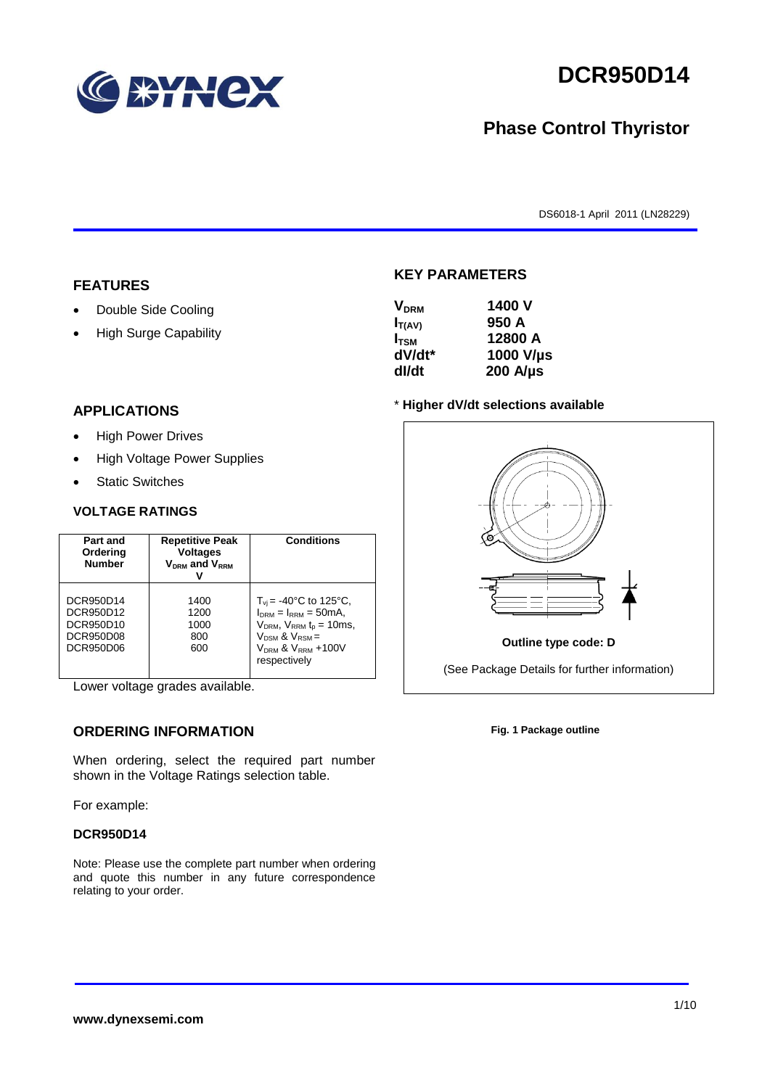

# **DCR950D14**

# **Phase Control Thyristor**

DS6018-1 April 2011 (LN28229)

#### **FEATURES**

- Double Side Cooling
- High Surge Capability

# **APPLICATIONS**

- High Power Drives
- High Voltage Power Supplies
- Static Switches

#### **VOLTAGE RATINGS**

| Part and<br>Ordering<br><b>Number</b>                                       | <b>Repetitive Peak</b><br><b>Voltages</b><br>$V_{DRM}$ and $V_{RRM}$ | <b>Conditions</b>                                                                                                                                                        |
|-----------------------------------------------------------------------------|----------------------------------------------------------------------|--------------------------------------------------------------------------------------------------------------------------------------------------------------------------|
| DCR950D14<br>DCR950D12<br>DCR950D10<br><b>DCR950D08</b><br><b>DCR950D06</b> | 1400<br>1200<br>1000<br>800<br>600                                   | $T_{vi}$ = -40°C to 125°C,<br>$I_{DRM} = I_{RRM} = 50mA$ ,<br>$V_{DRM}$ , $V_{RRM}$ $t_{p}$ = 10ms,<br>$V_{DSM}$ & $V_{RSM}$ =<br>$VDRM$ & $VRRM + 100V$<br>respectively |

Lower voltage grades available.

# **ORDERING INFORMATION**

When ordering, select the required part number shown in the Voltage Ratings selection table.

For example:

#### **DCR950D14**

Note: Please use the complete part number when ordering and quote this number in any future correspondence relating to your order.

### **KEY PARAMETERS**

| <b>V<sub>DRM</sub></b> | 1400 V           |
|------------------------|------------------|
| $I_{T(AV)}$            | 950 A            |
| $I_{TSM}$              | 12800 A          |
| dV/dt*                 | 1000 V/µs        |
| dl/dt                  | $200$ A/ $\mu$ s |

#### \* **Higher dV/dt selections available**



**Fig. 1 Package outline**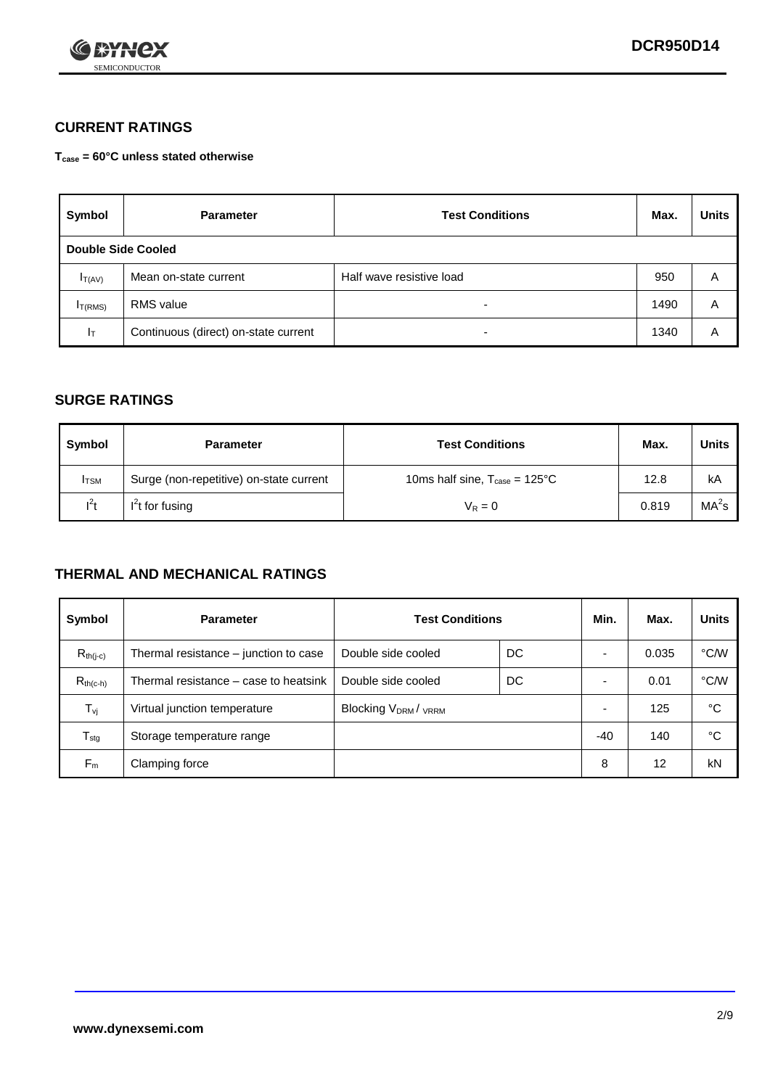

# **CURRENT RATINGS**

**Tcase = 60°C unless stated otherwise**

| Symbol             | <b>Parameter</b>                     | <b>Test Conditions</b>   |      | <b>Units</b> |  |
|--------------------|--------------------------------------|--------------------------|------|--------------|--|
| Double Side Cooled |                                      |                          |      |              |  |
| $I_{T(AV)}$        | Mean on-state current                | Half wave resistive load | 950  | A            |  |
| $I_{T(RMS)}$       | RMS value                            | $\overline{\phantom{a}}$ | 1490 | Α            |  |
| Iт                 | Continuous (direct) on-state current | $\overline{\phantom{a}}$ | 1340 | Α            |  |

### **SURGE RATINGS**

| Symbol       | <b>Parameter</b>                        | <b>Test Conditions</b>                           | Max.  | Units             |
|--------------|-----------------------------------------|--------------------------------------------------|-------|-------------------|
| <b>I</b> TSM | Surge (non-repetitive) on-state current | 10ms half sine, $T_{\text{case}} = 125^{\circ}C$ | 12.8  | kA                |
| $l^2t$       | $I2t$ for fusing                        | $V_R = 0$                                        | 0.819 | MA <sup>2</sup> s |

## **THERMAL AND MECHANICAL RATINGS**

| Symbol           | <b>Parameter</b>                      | <b>Test Conditions</b>    |    | Min.  | Max.  | <b>Units</b> |
|------------------|---------------------------------------|---------------------------|----|-------|-------|--------------|
| $R_{th(j-c)}$    | Thermal resistance – junction to case | Double side cooled        | DC |       | 0.035 | °C/W         |
| $R_{th(c-h)}$    | Thermal resistance – case to heatsink | Double side cooled        | DC |       | 0.01  | °C/W         |
| $T_{\nu j}$      | Virtual junction temperature          | <b>Blocking VDRM/VRRM</b> |    |       | 125   | °C           |
| $T_{\text{stg}}$ | Storage temperature range             |                           |    | $-40$ | 140   | °C           |
| $F_m$            | Clamping force                        |                           |    | 8     | 12    | kN           |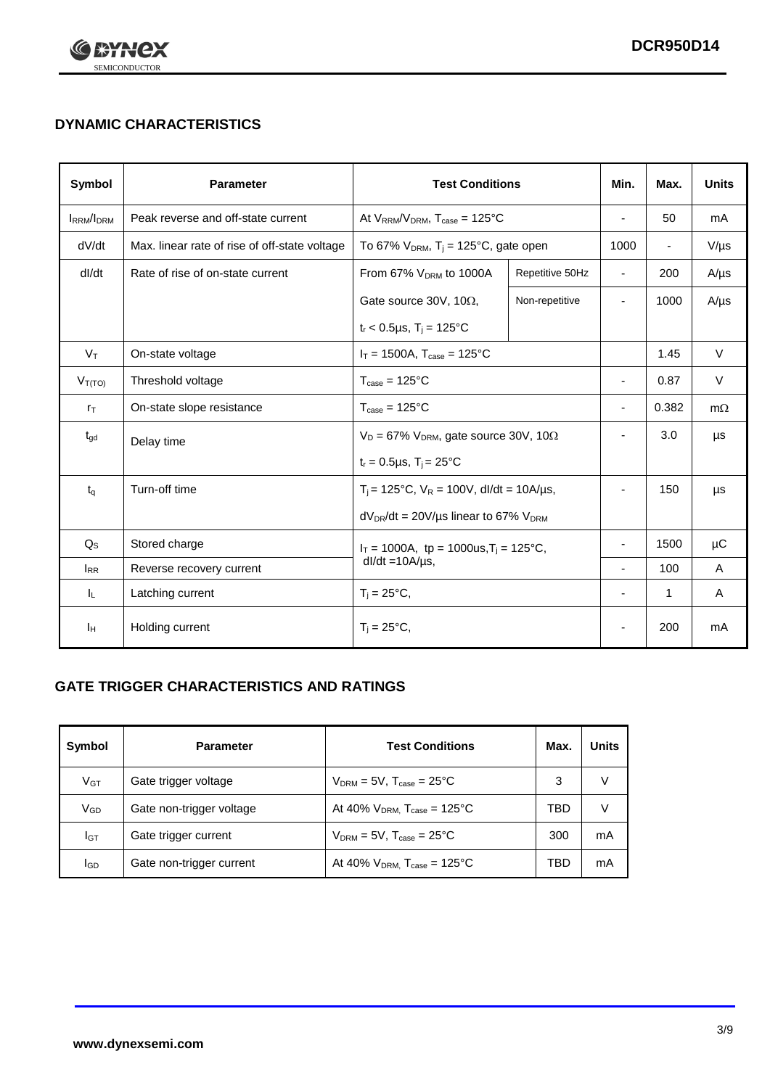

# **DYNAMIC CHARACTERISTICS**

| <b>Symbol</b>          | <b>Parameter</b>                              | <b>Test Conditions</b>                                                       |                 | Min.                     | Max.                     | <b>Units</b> |
|------------------------|-----------------------------------------------|------------------------------------------------------------------------------|-----------------|--------------------------|--------------------------|--------------|
| <b>IRRM</b> /IDRM      | Peak reverse and off-state current            | At $V_{RRM}/V_{DRM}$ , $T_{case} = 125^{\circ}C$                             |                 | L,                       | 50                       | mA           |
| dV/dt                  | Max. linear rate of rise of off-state voltage | To 67% $V_{DRM}$ , T <sub>i</sub> = 125°C, gate open                         |                 | 1000                     | $\overline{\phantom{a}}$ | $V/\mu s$    |
| dl/dt                  | Rate of rise of on-state current              | From 67% $V_{DRM}$ to 1000A                                                  | Repetitive 50Hz | $\overline{\phantom{a}}$ | 200                      | $A/\mu s$    |
|                        |                                               | Gate source 30V, 10 $\Omega$ ,                                               | Non-repetitive  | ٠                        | 1000                     | $A/\mu s$    |
|                        |                                               | $t_r$ < 0.5µs, $T_i$ = 125°C                                                 |                 |                          |                          |              |
| $V_T$                  | On-state voltage                              | $I_T = 1500A$ , $T_{case} = 125^{\circ}C$                                    |                 |                          | 1.45                     | $\vee$       |
| $V_{T(TO)}$            | Threshold voltage                             | $T_{\text{case}} = 125^{\circ}C$                                             |                 | $\overline{\phantom{a}}$ | 0.87                     | $\vee$       |
| $r_{\text{T}}$         | On-state slope resistance                     | $T_{\text{case}} = 125^{\circ}C$                                             |                 | $\overline{\phantom{a}}$ | 0.382                    | $m\Omega$    |
| $t_{\rm gd}$           | Delay time                                    | $V_D = 67\%$ V <sub>DRM</sub> , gate source 30V, 10 $\Omega$                 |                 | ÷                        | 3.0                      | μs           |
|                        |                                               | $t_r = 0.5 \mu s$ , $T_i = 25^{\circ}C$                                      |                 |                          |                          |              |
| $t_{q}$                | Turn-off time                                 | $T_i$ = 125°C, $V_R$ = 100V, dl/dt = 10A/µs,                                 |                 | ÷,                       | 150                      | μs           |
|                        |                                               | $dV_{DR}/dt = 20V/\mu s$ linear to 67% $V_{DRM}$                             |                 |                          |                          |              |
| $Q_S$                  | Stored charge                                 | $I_T = 1000A$ , tp = 1000us, $T_i = 125^{\circ}C$ ,<br>$dl/dt = 10A/\mu s$ , |                 |                          | 1500                     | $\mu$ C      |
| <b>I</b> <sub>RR</sub> | Reverse recovery current                      |                                                                              |                 |                          | 100                      | Α            |
| IL.                    | Latching current                              | $T_i = 25^{\circ}C$ ,                                                        |                 |                          | $\mathbf{1}$             | Α            |
| Iн                     | Holding current                               | $T_i = 25^{\circ}C$ ,                                                        |                 |                          | 200                      | mA           |

# **GATE TRIGGER CHARACTERISTICS AND RATINGS**

| Symbol          | <b>Parameter</b>         | <b>Test Conditions</b>                |     | Units |
|-----------------|--------------------------|---------------------------------------|-----|-------|
| V <sub>GT</sub> | Gate trigger voltage     | $V_{DRM}$ = 5V, $T_{case}$ = 25°C     | 3   | V     |
| $V_{GD}$        | Gate non-trigger voltage | At 40% $V_{DRM}$ , $T_{case}$ = 125°C | TBD | V     |
| Iст             | Gate trigger current     | $V_{DRM}$ = 5V, $T_{case}$ = 25°C     | 300 | mA    |
| <b>I</b> GD     | Gate non-trigger current | At 40% $V_{DRM}$ , $T_{case}$ = 125°C | TBD | mA    |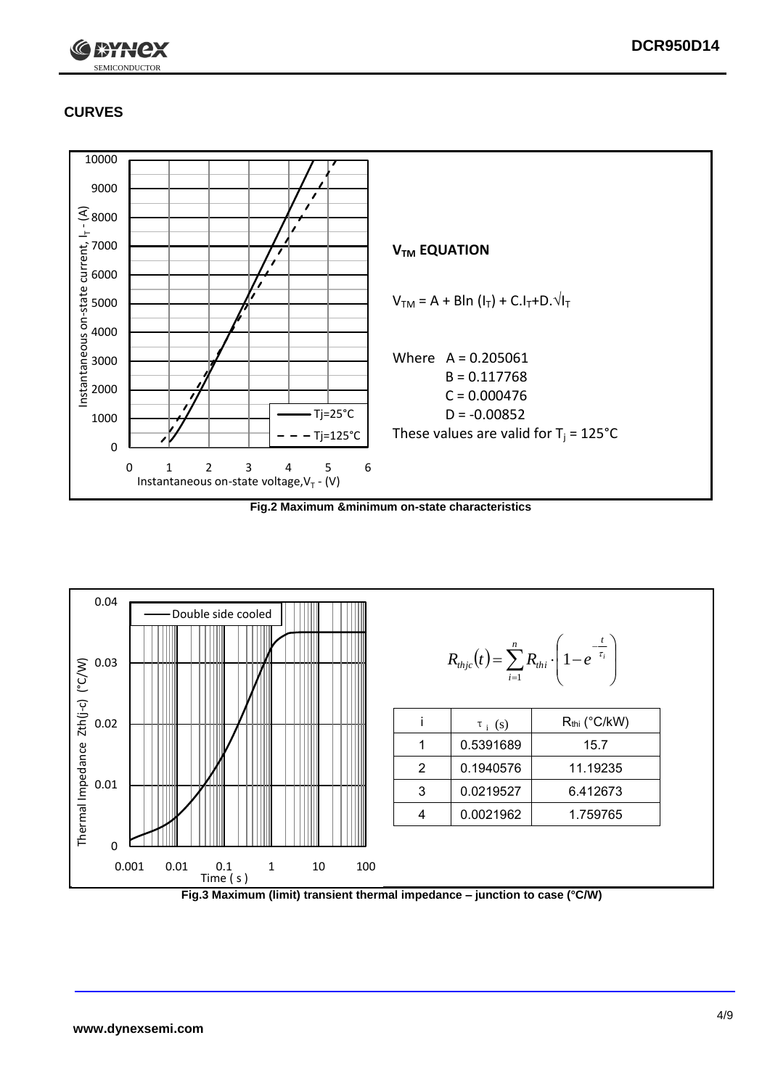

# **CURVES**



**Fig.2 Maximum &minimum on-state characteristics**



**Fig.3 Maximum (limit) transient thermal impedance – junction to case (°C/W)**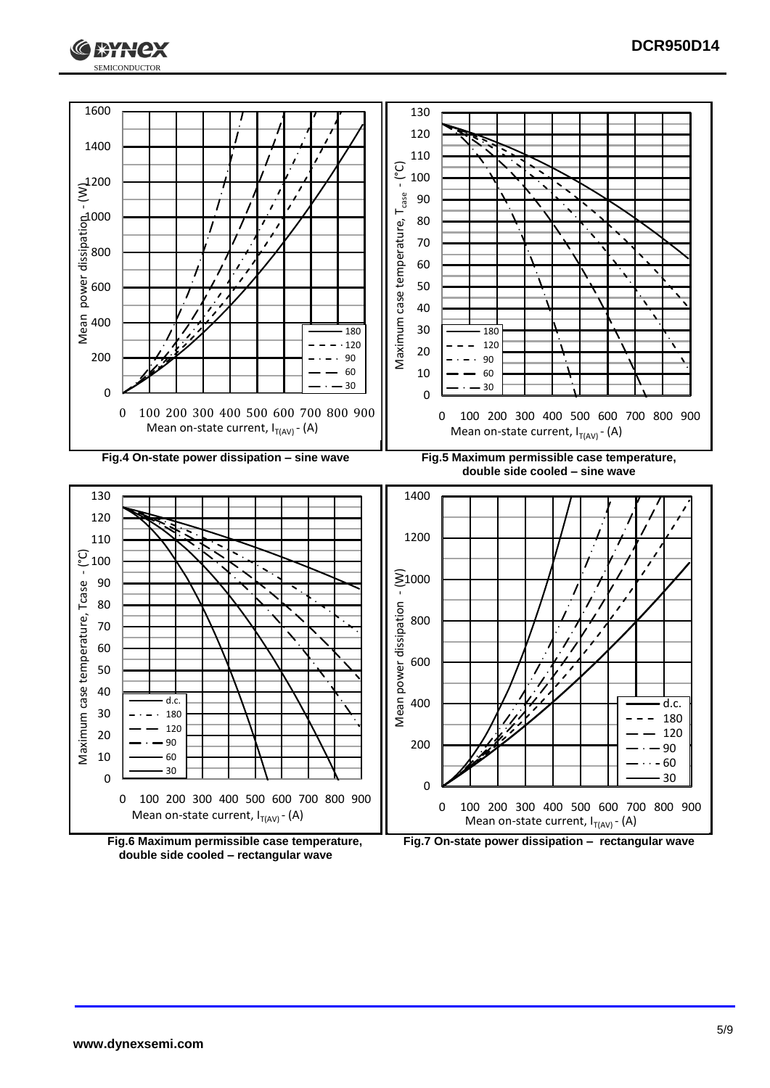



**double side cooled – rectangular wave**

**Fig.7 On-state power dissipation – rectangular wave**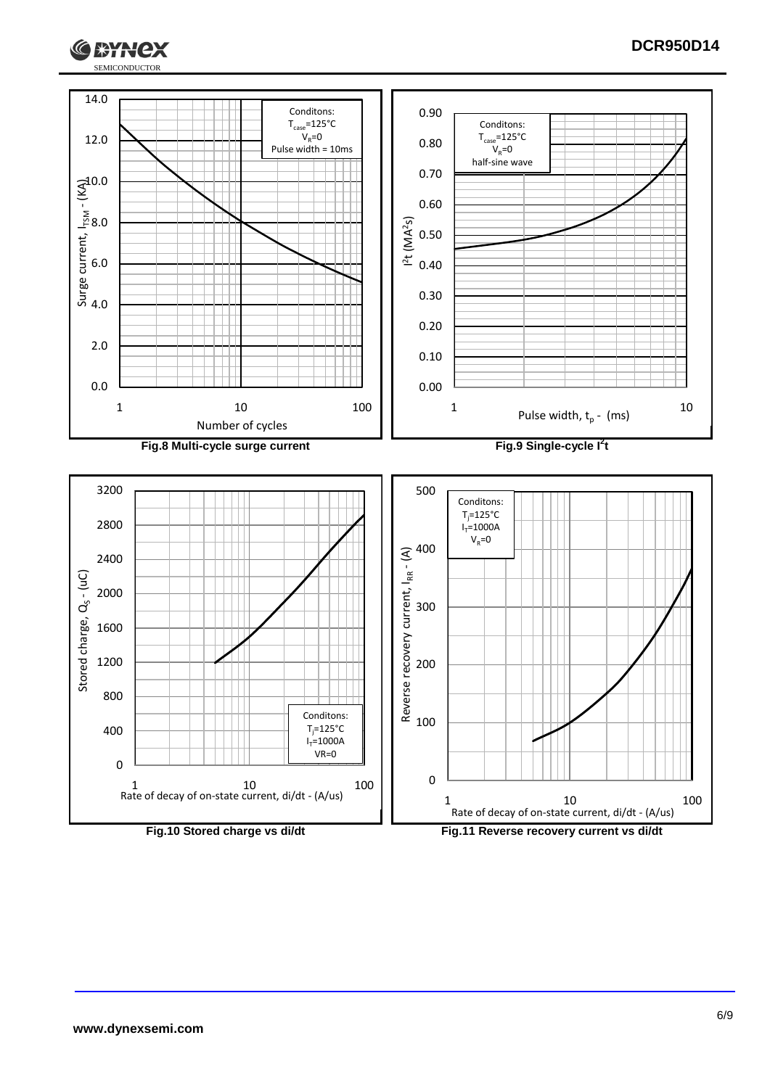![](_page_5_Picture_0.jpeg)

![](_page_5_Figure_1.jpeg)

 $1*Y$ 

ex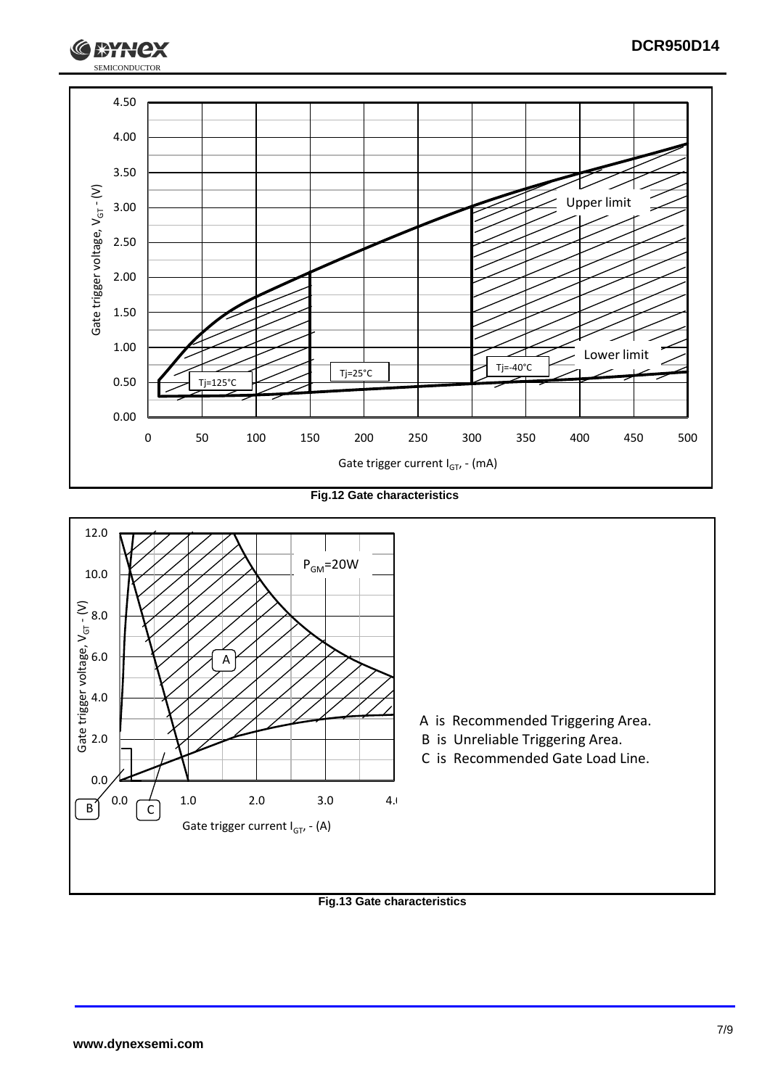![](_page_6_Picture_0.jpeg)

**Fig.12 Gate characteristics**

![](_page_6_Figure_2.jpeg)

**Fig.13 Gate characteristics**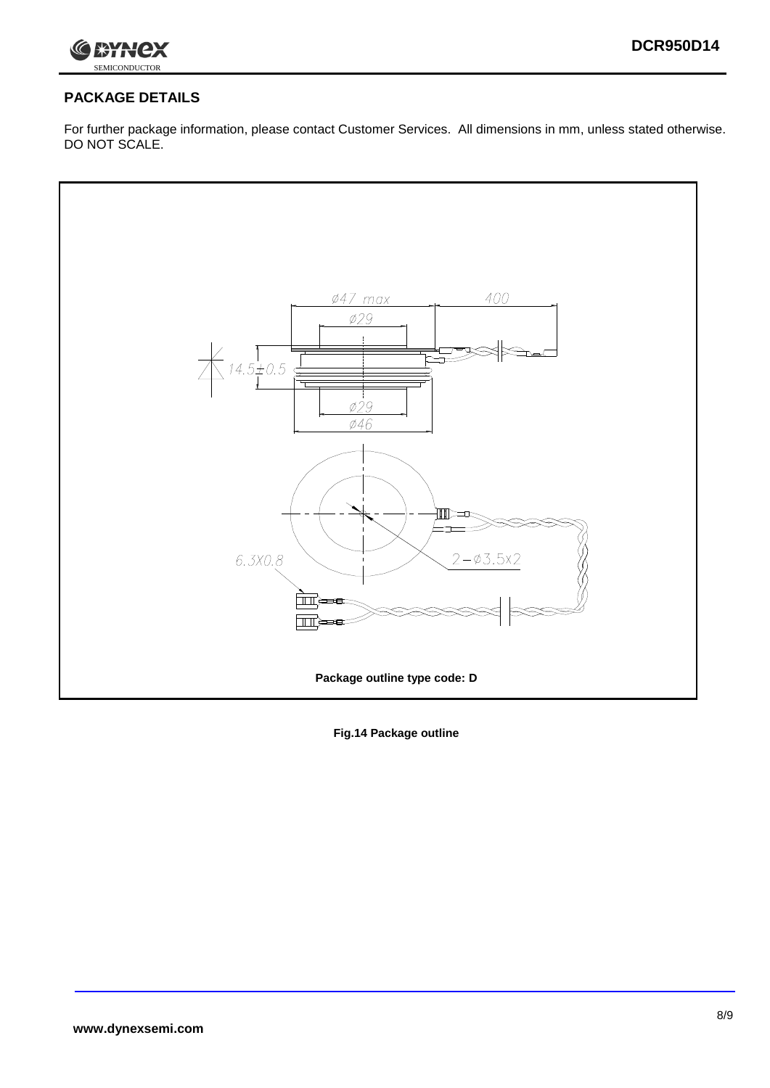![](_page_7_Picture_1.jpeg)

# **PACKAGE DETAILS**

For further package information, please contact Customer Services. All dimensions in mm, unless stated otherwise. DO NOT SCALE.

![](_page_7_Figure_4.jpeg)

**Fig.14 Package outline**